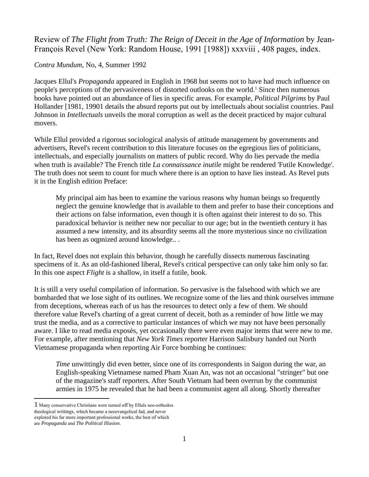## Review of *The Flight from Truth: The Reign of Deceit in the Age of Information* by Jean-François Revel (New York: Random House, 1991 [1988]) xxxviii , 408 pages, index.

*Contra Mundum*, No, 4, Summer 1992

Jacques Ellul's *Propaganda* appeared in English in 1968 but seems not to have had much influence on people's perceptions of the pervasiveness of distorted outlooks on the world.<sup>1</sup> Since then numerous books have pointed out an abundance of lies in specific areas. For example, *Political Pilgrims* by Paul Hollander [1981, 19901 details the absurd reports put out by intellectuals about socialist countries. Paul Johnson in *Intellectuals* unveils the moral corruption as well as the deceit practiced by major cultural movers.

While Ellul provided a rigorous sociological analysis of attitude management by governments and advertisers, Revel's recent contribution to this literature focuses on the egregious lies of politicians, intellectuals, and especially journalists on matters of public record. Why do lies pervade the media when truth is available? The French title *La connaissance inutile* might be rendered 'Futile Knowledge'. The truth does not seem to count for much where there is an option to have lies instead. As Revel puts it in the English edition Preface:

My principal aim has been to examine the various reasons why human beings so frequently neglect the genuine knowledge that is available to them and prefer to base their conceptions and their actions on false information, even though it is often against their interest to do so. This paradoxical behavior is neither new nor peculiar to our age; but in the twentieth century it has assumed a new intensity, and its absurdity seems all the more mysterious since no civilization has been as oqpnized around knowledge.. .

In fact, Revel does not explain this behavior, though he carefully dissects numerous fascinating specimens of it. As an old-fashioned liberal, Revel's critical perspective can only take him only so far. In this one aspect *Flight* is a shallow, in itself a futile, book.

It is still a very useful compilation of information. So pervasive is the falsehood with which we are bombarded that we lose sight of its outlines. We recognize some of the lies and think ourselves immune from deceptions, whereas each of us has the resources to detect only a few of them. We should therefore value Revel's charting of a great current of deceit, both as a reminder of how little we may trust the media, and as a corrective to particular instances of which we may not have been personally aware. I like to read media exposès, yet occasionally there were even major items that were new to me. For example, after mentioning that *New York Times* reporter Harrison Salisbury handed out North Vietnamese propaganda when reporting Air Force bombing he continues:

*Time* unwittingly did even better, since one of its correspondents in Saigon during the war, an English-speaking Vietnamese named Pham Xuan An, was not an occasional "stringer" but one of the magazine's staff reporters. After South Vietnam had been overrun by the communist armies in 1975 he revealed that he had been a communist agent all along. Shortly thereafter

<sup>1</sup> Many conservative Christians were turned off by Elluls neo-orthodox theological writings, which became a neoevangelical fad, and never explored his far more important professional works, the best of which are *Propaganda* and *The Political Illusion.*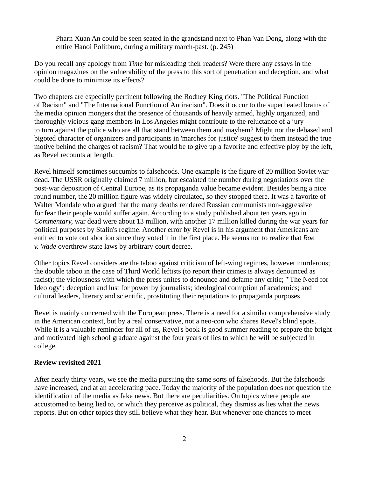Pharn Xuan An could be seen seated in the grandstand next to Phan Van Dong, along with the entire Hanoi Politburo, during a military march-past. (p. 245)

Do you recall any apology from *Time* for misleading their readers? Were there any essays in the opinion magazines on the vulnerability of the press to this sort of penetration and deception, and what could be done to minimize its effects?

Two chapters are especially pertinent following the Rodney King riots. "The Political Function of Racism" and "The International Function of Antiracism". Does it occur to the superheated brains of the media opinion mongers that the presence of thousands of heavily armed, highly organized, and thoroughly vicious gang members in Los Angeles might contribute to the reluctance of a jury to turn against the police who are all that stand between them and mayhem? Might not the debased and bigoted character of organizers and participants in 'marches for justice' suggest to them instead the true motive behind the charges of racism? That would be to give up a favorite and effective ploy by the left, as Revel recounts at length.

Revel himself sometimes succumbs to falsehoods. One example is the figure of 20 million Soviet war dead. The USSR originally claimed 7 million, but escalated the number during negotiations over the post-war deposition of Central Europe, as its propaganda value became evident. Besides being a nice round number, the 20 million figure was widely circulated, *so* they stopped there. It was a favorite of Walter Mondale who argued that the many deaths rendered Russian communists non-aggressive for fear their people would suffer again. According to a study published about ten years ago in *Commentary,* war dead were about 13 million, with another 17 million killed during the war years for political purposes by Stalin's regime. Another error by Revel is in his argument that Americans are entitled to vote out abortion since they voted it in the first place. He seems not to realize that *Roe v. Wade* overthrew state laws by arbitrary court decree.

Other topics Revel considers are the taboo against criticism of left-wing regimes, however murderous; the double taboo in the case of Third World leftists (to report their crimes is always denounced as racist); the viciousness with which the press unites to denounce and defame any critic; '"The Need for Ideology"; deception and lust for power by journalists; ideological cormption of academics; and cultural leaders, literary and scientific, prostituting their reputations to propaganda purposes.

Revel is mainly concerned with the European press. There is a need for a similar comprehensive study in the American context, but by a real conservative, not a neo-con who shares Revel's blind spots. While it is a valuable reminder for all of us, Revel's book is good summer reading to prepare the bright and motivated high school graduate against the four years of lies to which he will be subjected in college.

## **Review revisited 2021**

After nearly thirty years, we see the media pursuing the same sorts of falsehoods. But the falsehoods have increased, and at an accelerating pace. Today the majority of the population does not question the identification of the media as fake news. But there are peculiarities. On topics where people are accustomed to being lied to, or which they perceive as political, they dismiss as lies what the news reports. But on other topics they still believe what they hear. But whenever one chances to meet